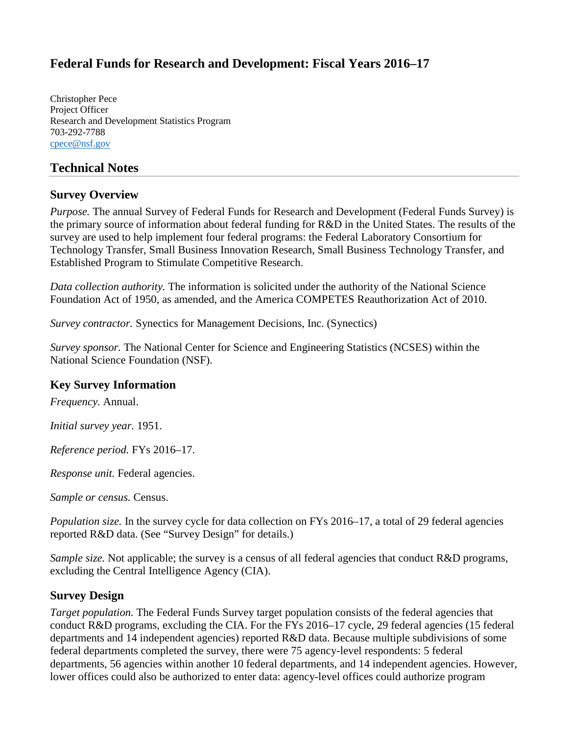# **Federal Funds for Research and Development: Fiscal Years 2016–17**

Christopher Pece Project Officer Research and Development Statistics Program 703-292-7788 [cpece@nsf.gov](mailto:cpece@nsf.gov)

## **Technical Notes**

#### **Survey Overview**

*Purpose.* The annual Survey of Federal Funds for Research and Development (Federal Funds Survey) is the primary source of information about federal funding for R&D in the United States. The results of the survey are used to help implement four federal programs: the Federal Laboratory Consortium for Technology Transfer, Small Business Innovation Research, Small Business Technology Transfer, and Established Program to Stimulate Competitive Research.

*Data collection authority.* The information is solicited under the authority of the National Science Foundation Act of 1950, as amended, and the America COMPETES Reauthorization Act of 2010.

*Survey contractor.* Synectics for Management Decisions, Inc. (Synectics)

*Survey sponsor.* The National Center for Science and Engineering Statistics (NCSES) within the National Science Foundation (NSF).

#### **Key Survey Information**

*Frequency.* Annual.

*Initial survey year.* 1951.

*Reference period.* FYs 2016–17.

*Response unit.* Federal agencies.

*Sample or census.* Census.

*Population size.* In the survey cycle for data collection on FYs 2016–17, a total of 29 federal agencies reported R&D data. (See "Survey Design" for details.)

*Sample size.* Not applicable; the survey is a census of all federal agencies that conduct R&D programs, excluding the Central Intelligence Agency (CIA).

#### **Survey Design**

*Target population.* The Federal Funds Survey target population consists of the federal agencies that conduct R&D programs, excluding the CIA. For the FYs 2016–17 cycle, 29 federal agencies (15 federal departments and 14 independent agencies) reported R&D data. Because multiple subdivisions of some federal departments completed the survey, there were 75 agency-level respondents: 5 federal departments, 56 agencies within another 10 federal departments, and 14 independent agencies. However, lower offices could also be authorized to enter data: agency-level offices could authorize program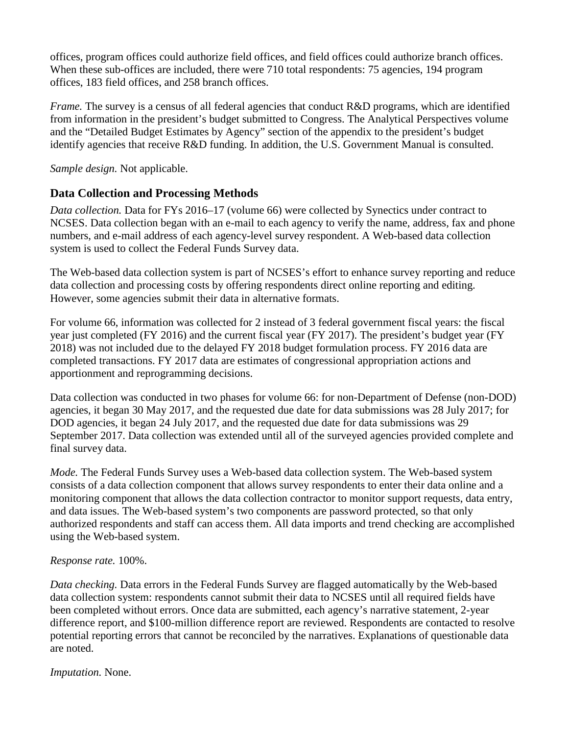offices, program offices could authorize field offices, and field offices could authorize branch offices. When these sub-offices are included, there were 710 total respondents: 75 agencies, 194 program offices, 183 field offices, and 258 branch offices.

*Frame.* The survey is a census of all federal agencies that conduct R&D programs, which are identified from information in the president's budget submitted to Congress. The Analytical Perspectives volume and the "Detailed Budget Estimates by Agency" section of the appendix to the president's budget identify agencies that receive R&D funding. In addition, the U.S. Government Manual is consulted.

*Sample design.* Not applicable.

## **Data Collection and Processing Methods**

*Data collection.* Data for FYs 2016–17 (volume 66) were collected by Synectics under contract to NCSES. Data collection began with an e-mail to each agency to verify the name, address, fax and phone numbers, and e-mail address of each agency-level survey respondent. A Web-based data collection system is used to collect the Federal Funds Survey data.

The Web-based data collection system is part of NCSES's effort to enhance survey reporting and reduce data collection and processing costs by offering respondents direct online reporting and editing. However, some agencies submit their data in alternative formats.

For volume 66, information was collected for 2 instead of 3 federal government fiscal years: the fiscal year just completed (FY 2016) and the current fiscal year (FY 2017). The president's budget year (FY 2018) was not included due to the delayed FY 2018 budget formulation process. FY 2016 data are completed transactions. FY 2017 data are estimates of congressional appropriation actions and apportionment and reprogramming decisions.

Data collection was conducted in two phases for volume 66: for non-Department of Defense (non-DOD) agencies, it began 30 May 2017, and the requested due date for data submissions was 28 July 2017; for DOD agencies, it began 24 July 2017, and the requested due date for data submissions was 29 September 2017. Data collection was extended until all of the surveyed agencies provided complete and final survey data.

*Mode.* The Federal Funds Survey uses a Web-based data collection system. The Web-based system consists of a data collection component that allows survey respondents to enter their data online and a monitoring component that allows the data collection contractor to monitor support requests, data entry, and data issues. The Web-based system's two components are password protected, so that only authorized respondents and staff can access them. All data imports and trend checking are accomplished using the Web-based system.

#### *Response rate.* 100%.

*Data checking.* Data errors in the Federal Funds Survey are flagged automatically by the Web-based data collection system: respondents cannot submit their data to NCSES until all required fields have been completed without errors. Once data are submitted, each agency's narrative statement, 2-year difference report, and \$100-million difference report are reviewed. Respondents are contacted to resolve potential reporting errors that cannot be reconciled by the narratives. Explanations of questionable data are noted.

*Imputation.* None.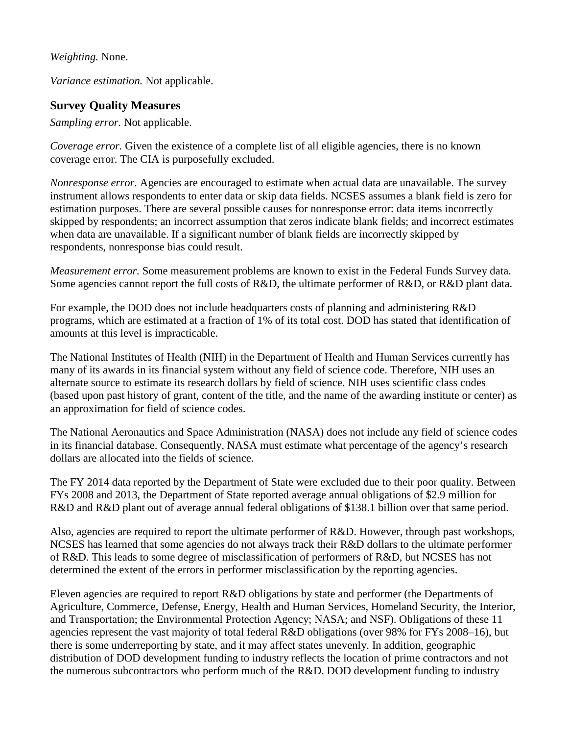*Weighting.* None.

*Variance estimation.* Not applicable.

### **Survey Quality Measures**

*Sampling error.* Not applicable.

*Coverage error.* Given the existence of a complete list of all eligible agencies, there is no known coverage error. The CIA is purposefully excluded.

*Nonresponse error.* Agencies are encouraged to estimate when actual data are unavailable. The survey instrument allows respondents to enter data or skip data fields. NCSES assumes a blank field is zero for estimation purposes. There are several possible causes for nonresponse error: data items incorrectly skipped by respondents; an incorrect assumption that zeros indicate blank fields; and incorrect estimates when data are unavailable. If a significant number of blank fields are incorrectly skipped by respondents, nonresponse bias could result.

*Measurement error.* Some measurement problems are known to exist in the Federal Funds Survey data. Some agencies cannot report the full costs of R&D, the ultimate performer of R&D, or R&D plant data.

For example, the DOD does not include headquarters costs of planning and administering R&D programs, which are estimated at a fraction of 1% of its total cost. DOD has stated that identification of amounts at this level is impracticable.

The National Institutes of Health (NIH) in the Department of Health and Human Services currently has many of its awards in its financial system without any field of science code. Therefore, NIH uses an alternate source to estimate its research dollars by field of science. NIH uses scientific class codes (based upon past history of grant, content of the title, and the name of the awarding institute or center) as an approximation for field of science codes.

The National Aeronautics and Space Administration (NASA) does not include any field of science codes in its financial database. Consequently, NASA must estimate what percentage of the agency's research dollars are allocated into the fields of science.

The FY 2014 data reported by the Department of State were excluded due to their poor quality. Between FYs 2008 and 2013, the Department of State reported average annual obligations of \$2.9 million for R&D and R&D plant out of average annual federal obligations of \$138.1 billion over that same period.

Also, agencies are required to report the ultimate performer of R&D. However, through past workshops, NCSES has learned that some agencies do not always track their R&D dollars to the ultimate performer of R&D. This leads to some degree of misclassification of performers of R&D, but NCSES has not determined the extent of the errors in performer misclassification by the reporting agencies.

Eleven agencies are required to report R&D obligations by state and performer (the Departments of Agriculture, Commerce, Defense, Energy, Health and Human Services, Homeland Security, the Interior, and Transportation; the Environmental Protection Agency; NASA; and NSF). Obligations of these 11 agencies represent the vast majority of total federal R&D obligations (over 98% for FYs 2008–16), but there is some underreporting by state, and it may affect states unevenly. In addition, geographic distribution of DOD development funding to industry reflects the location of prime contractors and not the numerous subcontractors who perform much of the R&D. DOD development funding to industry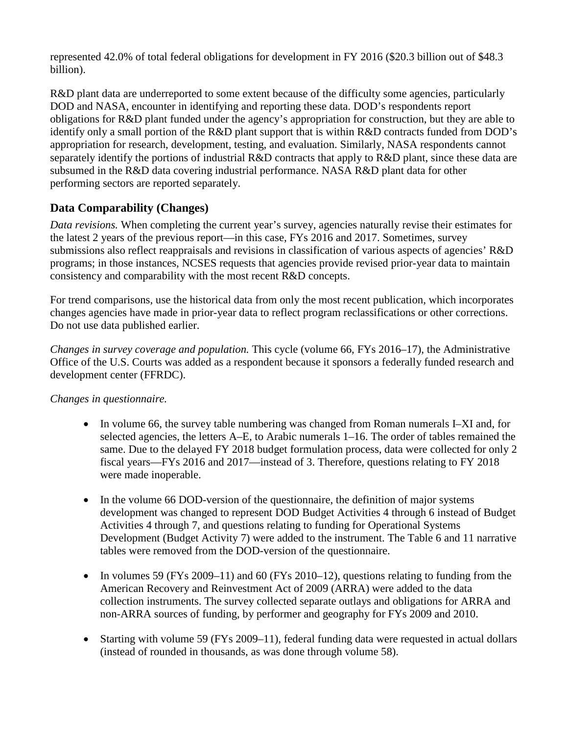represented 42.0% of total federal obligations for development in FY 2016 (\$20.3 billion out of \$48.3 billion).

R&D plant data are underreported to some extent because of the difficulty some agencies, particularly DOD and NASA, encounter in identifying and reporting these data. DOD's respondents report obligations for R&D plant funded under the agency's appropriation for construction, but they are able to identify only a small portion of the R&D plant support that is within R&D contracts funded from DOD's appropriation for research, development, testing, and evaluation. Similarly, NASA respondents cannot separately identify the portions of industrial R&D contracts that apply to R&D plant, since these data are subsumed in the R&D data covering industrial performance. NASA R&D plant data for other performing sectors are reported separately.

## **Data Comparability (Changes)**

*Data revisions.* When completing the current year's survey, agencies naturally revise their estimates for the latest 2 years of the previous report—in this case, FYs 2016 and 2017. Sometimes, survey submissions also reflect reappraisals and revisions in classification of various aspects of agencies' R&D programs; in those instances, NCSES requests that agencies provide revised prior-year data to maintain consistency and comparability with the most recent R&D concepts.

For trend comparisons, use the historical data from only the most recent publication, which incorporates changes agencies have made in prior-year data to reflect program reclassifications or other corrections. Do not use data published earlier.

*Changes in survey coverage and population.* This cycle (volume 66, FYs 2016–17), the Administrative Office of the U.S. Courts was added as a respondent because it sponsors a federally funded research and development center (FFRDC).

## *Changes in questionnaire.*

- In volume 66, the survey table numbering was changed from Roman numerals I–XI and, for selected agencies, the letters A–E, to Arabic numerals 1–16. The order of tables remained the same. Due to the delayed FY 2018 budget formulation process, data were collected for only 2 fiscal years—FYs 2016 and 2017—instead of 3. Therefore, questions relating to FY 2018 were made inoperable.
- In the volume 66 DOD-version of the questionnaire, the definition of major systems development was changed to represent DOD Budget Activities 4 through 6 instead of Budget Activities 4 through 7, and questions relating to funding for Operational Systems Development (Budget Activity 7) were added to the instrument. The Table 6 and 11 narrative tables were removed from the DOD-version of the questionnaire.
- In volumes 59 (FYs 2009–11) and 60 (FYs 2010–12), questions relating to funding from the American Recovery and Reinvestment Act of 2009 (ARRA) were added to the data collection instruments. The survey collected separate outlays and obligations for ARRA and non-ARRA sources of funding, by performer and geography for FYs 2009 and 2010.
- Starting with volume 59 (FYs 2009–11), federal funding data were requested in actual dollars (instead of rounded in thousands, as was done through volume 58).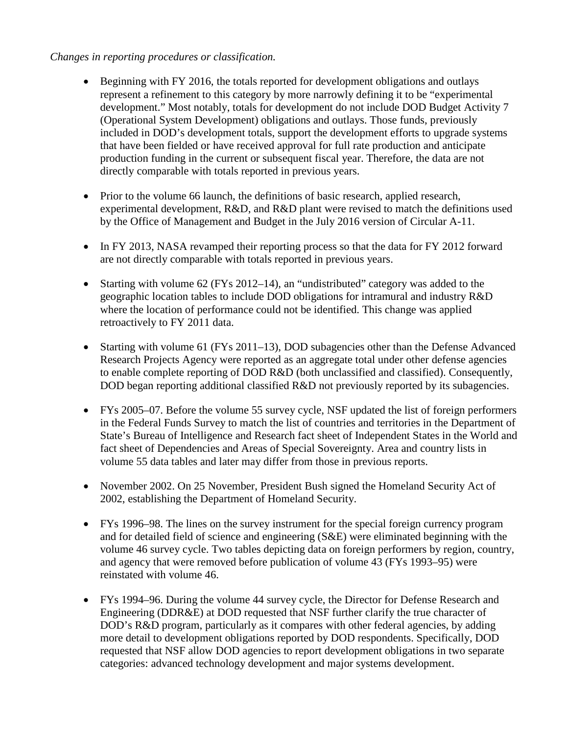#### *Changes in reporting procedures or classification.*

- Beginning with FY 2016, the totals reported for development obligations and outlays represent a refinement to this category by more narrowly defining it to be "experimental development." Most notably, totals for development do not include DOD Budget Activity 7 (Operational System Development) obligations and outlays. Those funds, previously included in DOD's development totals, support the development efforts to upgrade systems that have been fielded or have received approval for full rate production and anticipate production funding in the current or subsequent fiscal year. Therefore, the data are not directly comparable with totals reported in previous years.
- Prior to the volume 66 launch, the definitions of basic research, applied research, experimental development, R&D, and R&D plant were revised to match the definitions used by the Office of Management and Budget in the July 2016 version of Circular A-11.
- In FY 2013, NASA revamped their reporting process so that the data for FY 2012 forward are not directly comparable with totals reported in previous years.
- Starting with volume 62 (FYs 2012–14), an "undistributed" category was added to the geographic location tables to include DOD obligations for intramural and industry R&D where the location of performance could not be identified. This change was applied retroactively to FY 2011 data.
- Starting with volume 61 (FYs 2011–13), DOD subagencies other than the Defense Advanced Research Projects Agency were reported as an aggregate total under other defense agencies to enable complete reporting of DOD R&D (both unclassified and classified). Consequently, DOD began reporting additional classified R&D not previously reported by its subagencies.
- FYs 2005–07. Before the volume 55 survey cycle, NSF updated the list of foreign performers in the Federal Funds Survey to match the list of countries and territories in the Department of State's Bureau of Intelligence and Research fact sheet of Independent States in the World and fact sheet of Dependencies and Areas of Special Sovereignty. Area and country lists in volume 55 data tables and later may differ from those in previous reports.
- November 2002. On 25 November, President Bush signed the Homeland Security Act of 2002, establishing the Department of Homeland Security.
- FYs 1996–98. The lines on the survey instrument for the special foreign currency program and for detailed field of science and engineering (S&E) were eliminated beginning with the volume 46 survey cycle. Two tables depicting data on foreign performers by region, country, and agency that were removed before publication of volume 43 (FYs 1993–95) were reinstated with volume 46.
- FYs 1994–96. During the volume 44 survey cycle, the Director for Defense Research and Engineering (DDR&E) at DOD requested that NSF further clarify the true character of DOD's R&D program, particularly as it compares with other federal agencies, by adding more detail to development obligations reported by DOD respondents. Specifically, DOD requested that NSF allow DOD agencies to report development obligations in two separate categories: advanced technology development and major systems development.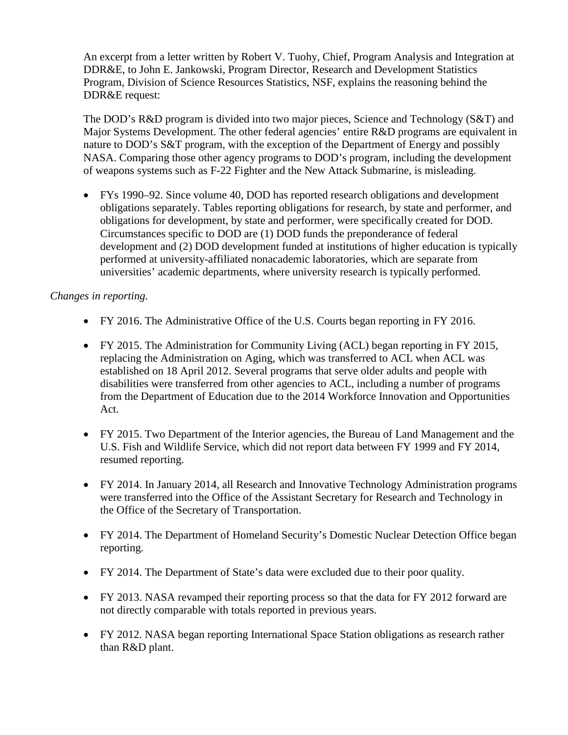An excerpt from a letter written by Robert V. Tuohy, Chief, Program Analysis and Integration at DDR&E, to John E. Jankowski, Program Director, Research and Development Statistics Program, Division of Science Resources Statistics, NSF, explains the reasoning behind the DDR&E request:

The DOD's R&D program is divided into two major pieces, Science and Technology (S&T) and Major Systems Development. The other federal agencies' entire R&D programs are equivalent in nature to DOD's S&T program, with the exception of the Department of Energy and possibly NASA. Comparing those other agency programs to DOD's program, including the development of weapons systems such as F-22 Fighter and the New Attack Submarine, is misleading.

• FYs 1990–92. Since volume 40, DOD has reported research obligations and development obligations separately. Tables reporting obligations for research, by state and performer, and obligations for development, by state and performer, were specifically created for DOD. Circumstances specific to DOD are (1) DOD funds the preponderance of federal development and (2) DOD development funded at institutions of higher education is typically performed at university-affiliated nonacademic laboratories, which are separate from universities' academic departments, where university research is typically performed.

#### *Changes in reporting.*

- FY 2016. The Administrative Office of the U.S. Courts began reporting in FY 2016.
- FY 2015. The Administration for Community Living (ACL) began reporting in FY 2015, replacing the Administration on Aging, which was transferred to ACL when ACL was established on 18 April 2012. Several programs that serve older adults and people with disabilities were transferred from other agencies to ACL, including a number of programs from the Department of Education due to the 2014 Workforce Innovation and Opportunities Act.
- FY 2015. Two Department of the Interior agencies, the Bureau of Land Management and the U.S. Fish and Wildlife Service, which did not report data between FY 1999 and FY 2014, resumed reporting.
- FY 2014. In January 2014, all Research and Innovative Technology Administration programs were transferred into the Office of the Assistant Secretary for Research and Technology in the Office of the Secretary of Transportation.
- FY 2014. The Department of Homeland Security's Domestic Nuclear Detection Office began reporting.
- FY 2014. The Department of State's data were excluded due to their poor quality.
- FY 2013. NASA revamped their reporting process so that the data for FY 2012 forward are not directly comparable with totals reported in previous years.
- FY 2012. NASA began reporting International Space Station obligations as research rather than R&D plant.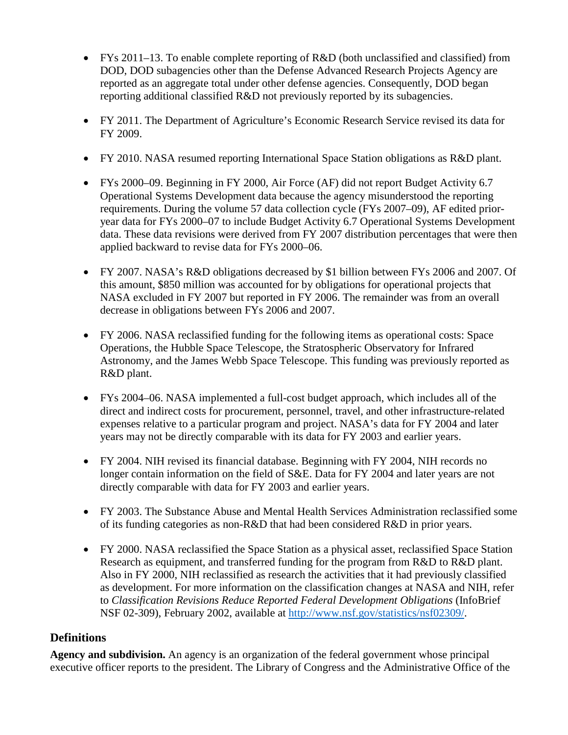- FYs 2011–13. To enable complete reporting of R&D (both unclassified and classified) from DOD, DOD subagencies other than the Defense Advanced Research Projects Agency are reported as an aggregate total under other defense agencies. Consequently, DOD began reporting additional classified R&D not previously reported by its subagencies.
- FY 2011. The Department of Agriculture's Economic Research Service revised its data for FY 2009.
- FY 2010. NASA resumed reporting International Space Station obligations as R&D plant.
- FYs 2000–09. Beginning in FY 2000, Air Force (AF) did not report Budget Activity 6.7 Operational Systems Development data because the agency misunderstood the reporting requirements. During the volume 57 data collection cycle (FYs 2007–09), AF edited prioryear data for FYs 2000–07 to include Budget Activity 6.7 Operational Systems Development data. These data revisions were derived from FY 2007 distribution percentages that were then applied backward to revise data for FYs 2000–06.
- FY 2007. NASA's R&D obligations decreased by \$1 billion between FYs 2006 and 2007. Of this amount, \$850 million was accounted for by obligations for operational projects that NASA excluded in FY 2007 but reported in FY 2006. The remainder was from an overall decrease in obligations between FYs 2006 and 2007.
- FY 2006. NASA reclassified funding for the following items as operational costs: Space Operations, the Hubble Space Telescope, the Stratospheric Observatory for Infrared Astronomy, and the James Webb Space Telescope. This funding was previously reported as R&D plant.
- FYs 2004–06. NASA implemented a full-cost budget approach, which includes all of the direct and indirect costs for procurement, personnel, travel, and other infrastructure-related expenses relative to a particular program and project. NASA's data for FY 2004 and later years may not be directly comparable with its data for FY 2003 and earlier years.
- FY 2004. NIH revised its financial database. Beginning with FY 2004, NIH records no longer contain information on the field of S&E. Data for FY 2004 and later years are not directly comparable with data for FY 2003 and earlier years.
- FY 2003. The Substance Abuse and Mental Health Services Administration reclassified some of its funding categories as non-R&D that had been considered R&D in prior years.
- FY 2000. NASA reclassified the Space Station as a physical asset, reclassified Space Station Research as equipment, and transferred funding for the program from R&D to R&D plant. Also in FY 2000, NIH reclassified as research the activities that it had previously classified as development. For more information on the classification changes at NASA and NIH, refer to *Classification Revisions Reduce Reported Federal Development Obligations* (InfoBrief NSF 02-309), February 2002, available at [http://www.nsf.gov/statistics/nsf02309/.](http://www.nsf.gov/statistics/nsf02309/)

## **Definitions**

**Agency and subdivision.** An agency is an organization of the federal government whose principal executive officer reports to the president. The Library of Congress and the Administrative Office of the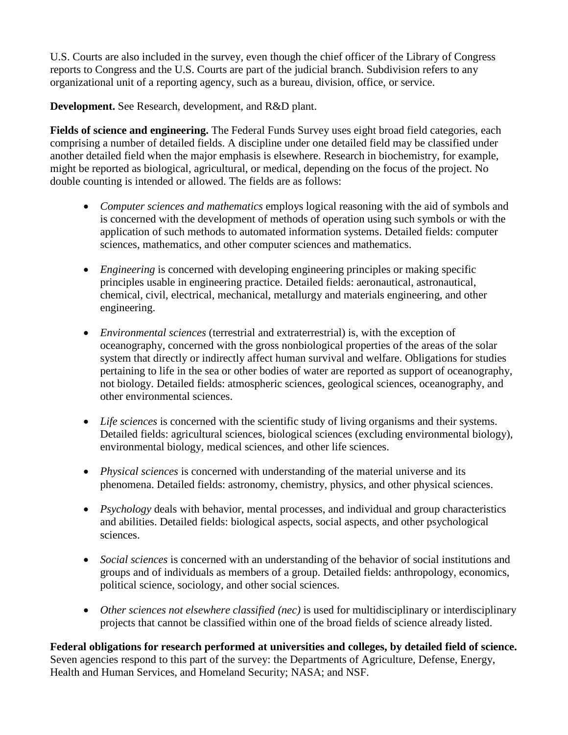U.S. Courts are also included in the survey, even though the chief officer of the Library of Congress reports to Congress and the U.S. Courts are part of the judicial branch. Subdivision refers to any organizational unit of a reporting agency, such as a bureau, division, office, or service.

**Development.** See Research, development, and R&D plant.

**Fields of science and engineering.** The Federal Funds Survey uses eight broad field categories, each comprising a number of detailed fields. A discipline under one detailed field may be classified under another detailed field when the major emphasis is elsewhere. Research in biochemistry, for example, might be reported as biological, agricultural, or medical, depending on the focus of the project. No double counting is intended or allowed. The fields are as follows:

- *Computer sciences and mathematics* employs logical reasoning with the aid of symbols and is concerned with the development of methods of operation using such symbols or with the application of such methods to automated information systems. Detailed fields: computer sciences, mathematics, and other computer sciences and mathematics.
- *Engineering* is concerned with developing engineering principles or making specific principles usable in engineering practice. Detailed fields: aeronautical, astronautical, chemical, civil, electrical, mechanical, metallurgy and materials engineering, and other engineering.
- *Environmental sciences* (terrestrial and extraterrestrial) is, with the exception of oceanography, concerned with the gross nonbiological properties of the areas of the solar system that directly or indirectly affect human survival and welfare. Obligations for studies pertaining to life in the sea or other bodies of water are reported as support of oceanography, not biology. Detailed fields: atmospheric sciences, geological sciences, oceanography, and other environmental sciences.
- *Life sciences* is concerned with the scientific study of living organisms and their systems. Detailed fields: agricultural sciences, biological sciences (excluding environmental biology), environmental biology, medical sciences, and other life sciences.
- *Physical sciences* is concerned with understanding of the material universe and its phenomena. Detailed fields: astronomy, chemistry, physics, and other physical sciences.
- *Psychology* deals with behavior, mental processes, and individual and group characteristics and abilities. Detailed fields: biological aspects, social aspects, and other psychological sciences.
- *Social sciences* is concerned with an understanding of the behavior of social institutions and groups and of individuals as members of a group. Detailed fields: anthropology, economics, political science, sociology, and other social sciences.
- *Other sciences not elsewhere classified (nec)* is used for multidisciplinary or interdisciplinary projects that cannot be classified within one of the broad fields of science already listed.

**Federal obligations for research performed at universities and colleges, by detailed field of science.** Seven agencies respond to this part of the survey: the Departments of Agriculture, Defense, Energy, Health and Human Services, and Homeland Security; NASA; and NSF.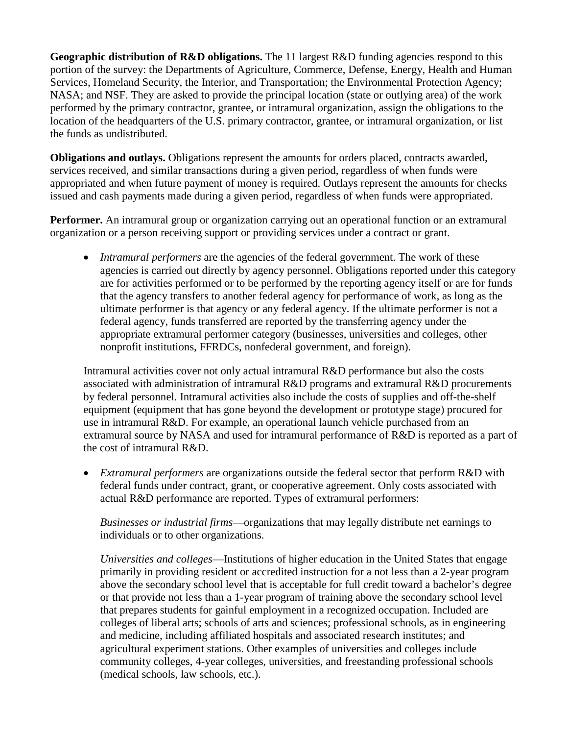**Geographic distribution of R&D obligations.** The 11 largest R&D funding agencies respond to this portion of the survey: the Departments of Agriculture, Commerce, Defense, Energy, Health and Human Services, Homeland Security, the Interior, and Transportation; the Environmental Protection Agency; NASA; and NSF. They are asked to provide the principal location (state or outlying area) of the work performed by the primary contractor, grantee, or intramural organization, assign the obligations to the location of the headquarters of the U.S. primary contractor, grantee, or intramural organization, or list the funds as undistributed.

**Obligations and outlays.** Obligations represent the amounts for orders placed, contracts awarded, services received, and similar transactions during a given period, regardless of when funds were appropriated and when future payment of money is required. Outlays represent the amounts for checks issued and cash payments made during a given period, regardless of when funds were appropriated.

**Performer.** An intramural group or organization carrying out an operational function or an extramural organization or a person receiving support or providing services under a contract or grant.

• *Intramural performers* are the agencies of the federal government. The work of these agencies is carried out directly by agency personnel. Obligations reported under this category are for activities performed or to be performed by the reporting agency itself or are for funds that the agency transfers to another federal agency for performance of work, as long as the ultimate performer is that agency or any federal agency. If the ultimate performer is not a federal agency, funds transferred are reported by the transferring agency under the appropriate extramural performer category (businesses, universities and colleges, other nonprofit institutions, FFRDCs, nonfederal government, and foreign).

Intramural activities cover not only actual intramural R&D performance but also the costs associated with administration of intramural R&D programs and extramural R&D procurements by federal personnel. Intramural activities also include the costs of supplies and off-the-shelf equipment (equipment that has gone beyond the development or prototype stage) procured for use in intramural R&D. For example, an operational launch vehicle purchased from an extramural source by NASA and used for intramural performance of R&D is reported as a part of the cost of intramural R&D.

• *Extramural performers* are organizations outside the federal sector that perform R&D with federal funds under contract, grant, or cooperative agreement. Only costs associated with actual R&D performance are reported. Types of extramural performers:

*Businesses or industrial firms*—organizations that may legally distribute net earnings to individuals or to other organizations.

*Universities and colleges*—Institutions of higher education in the United States that engage primarily in providing resident or accredited instruction for a not less than a 2-year program above the secondary school level that is acceptable for full credit toward a bachelor's degree or that provide not less than a 1-year program of training above the secondary school level that prepares students for gainful employment in a recognized occupation. Included are colleges of liberal arts; schools of arts and sciences; professional schools, as in engineering and medicine, including affiliated hospitals and associated research institutes; and agricultural experiment stations. Other examples of universities and colleges include community colleges, 4-year colleges, universities, and freestanding professional schools (medical schools, law schools, etc.).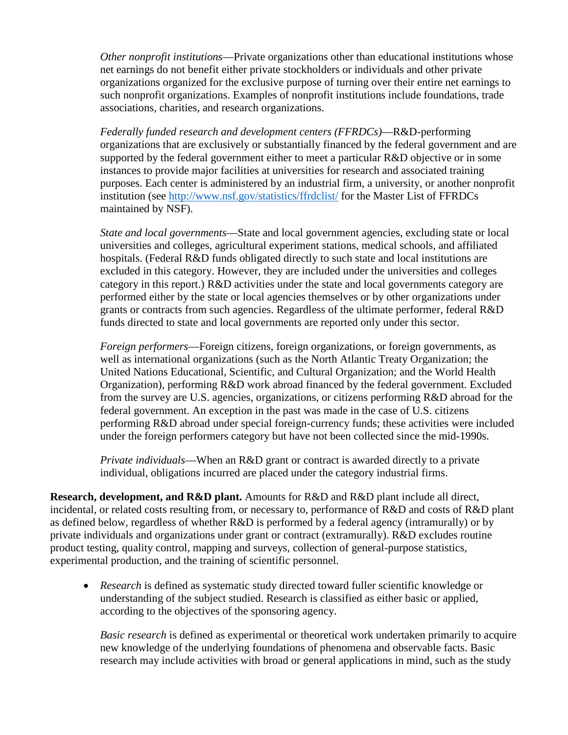*Other nonprofit institutions*—Private organizations other than educational institutions whose net earnings do not benefit either private stockholders or individuals and other private organizations organized for the exclusive purpose of turning over their entire net earnings to such nonprofit organizations. Examples of nonprofit institutions include foundations, trade associations, charities, and research organizations.

*Federally funded research and development centers (FFRDCs)*—R&D-performing organizations that are exclusively or substantially financed by the federal government and are supported by the federal government either to meet a particular R&D objective or in some instances to provide major facilities at universities for research and associated training purposes. Each center is administered by an industrial firm, a university, or another nonprofit institution (see <http://www.nsf.gov/statistics/ffrdclist/> for the Master List of FFRDCs maintained by NSF).

*State and local governments*—State and local government agencies, excluding state or local universities and colleges, agricultural experiment stations, medical schools, and affiliated hospitals. (Federal R&D funds obligated directly to such state and local institutions are excluded in this category. However, they are included under the universities and colleges category in this report.) R&D activities under the state and local governments category are performed either by the state or local agencies themselves or by other organizations under grants or contracts from such agencies. Regardless of the ultimate performer, federal R&D funds directed to state and local governments are reported only under this sector.

*Foreign performers*—Foreign citizens, foreign organizations, or foreign governments, as well as international organizations (such as the North Atlantic Treaty Organization; the United Nations Educational, Scientific, and Cultural Organization; and the World Health Organization), performing R&D work abroad financed by the federal government. Excluded from the survey are U.S. agencies, organizations, or citizens performing R&D abroad for the federal government. An exception in the past was made in the case of U.S. citizens performing R&D abroad under special foreign-currency funds; these activities were included under the foreign performers category but have not been collected since the mid-1990s.

*Private individuals*—When an R&D grant or contract is awarded directly to a private individual, obligations incurred are placed under the category industrial firms.

**Research, development, and R&D plant.** Amounts for R&D and R&D plant include all direct, incidental, or related costs resulting from, or necessary to, performance of R&D and costs of R&D plant as defined below, regardless of whether R&D is performed by a federal agency (intramurally) or by private individuals and organizations under grant or contract (extramurally). R&D excludes routine product testing, quality control, mapping and surveys, collection of general-purpose statistics, experimental production, and the training of scientific personnel.

• *Research* is defined as systematic study directed toward fuller scientific knowledge or understanding of the subject studied. Research is classified as either basic or applied, according to the objectives of the sponsoring agency.

*Basic research* is defined as experimental or theoretical work undertaken primarily to acquire new knowledge of the underlying foundations of phenomena and observable facts. Basic research may include activities with broad or general applications in mind, such as the study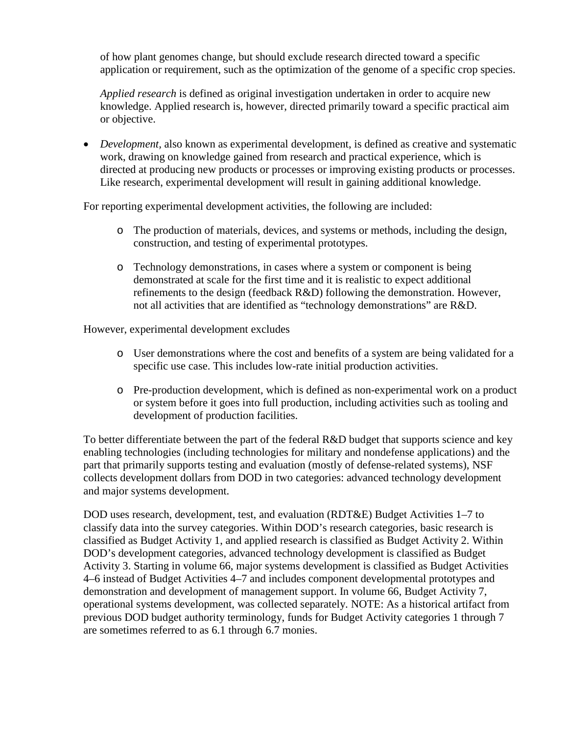of how plant genomes change, but should exclude research directed toward a specific application or requirement, such as the optimization of the genome of a specific crop species.

*Applied research* is defined as original investigation undertaken in order to acquire new knowledge. Applied research is, however, directed primarily toward a specific practical aim or objective.

• *Development*, also known as experimental development, is defined as creative and systematic work, drawing on knowledge gained from research and practical experience, which is directed at producing new products or processes or improving existing products or processes. Like research, experimental development will result in gaining additional knowledge.

For reporting experimental development activities, the following are included:

- o The production of materials, devices, and systems or methods, including the design, construction, and testing of experimental prototypes.
- o Technology demonstrations, in cases where a system or component is being demonstrated at scale for the first time and it is realistic to expect additional refinements to the design (feedback R&D) following the demonstration. However, not all activities that are identified as "technology demonstrations" are R&D.

However, experimental development excludes

- o User demonstrations where the cost and benefits of a system are being validated for a specific use case. This includes low-rate initial production activities.
- o Pre-production development, which is defined as non-experimental work on a product or system before it goes into full production, including activities such as tooling and development of production facilities.

To better differentiate between the part of the federal R&D budget that supports science and key enabling technologies (including technologies for military and nondefense applications) and the part that primarily supports testing and evaluation (mostly of defense-related systems), NSF collects development dollars from DOD in two categories: advanced technology development and major systems development.

DOD uses research, development, test, and evaluation (RDT&E) Budget Activities 1–7 to classify data into the survey categories. Within DOD's research categories, basic research is classified as Budget Activity 1, and applied research is classified as Budget Activity 2. Within DOD's development categories, advanced technology development is classified as Budget Activity 3. Starting in volume 66, major systems development is classified as Budget Activities 4–6 instead of Budget Activities 4–7 and includes component developmental prototypes and demonstration and development of management support. In volume 66, Budget Activity 7, operational systems development, was collected separately. NOTE: As a historical artifact from previous DOD budget authority terminology, funds for Budget Activity categories 1 through 7 are sometimes referred to as 6.1 through 6.7 monies.